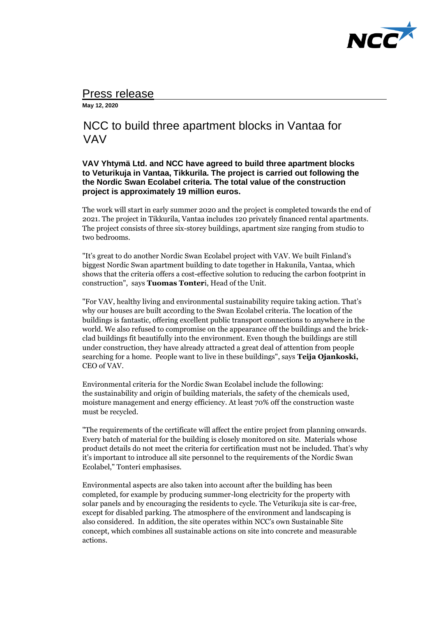

# Press release

**May 12, 2020** 

# NCC to build three apartment blocks in Vantaa for VAV

## **VAV Yhtymä Ltd. and NCC have agreed to build three apartment blocks to Veturikuja in Vantaa, Tikkurila. The project is carried out following the the Nordic Swan Ecolabel criteria. The total value of the construction project is approximately 19 million euros.**

The work will start in early summer 2020 and the project is completed towards the end of 2021. The project in Tikkurila, Vantaa includes 120 privately financed rental apartments. The project consists of three six-storey buildings, apartment size ranging from studio to two bedrooms.

"It's great to do another Nordic Swan Ecolabel project with VAV. We built Finland's biggest Nordic Swan apartment building to date together in Hakunila, Vantaa, which shows that the criteria offers a cost-effective solution to reducing the carbon footprint in construction", says **Tuomas Tonter**i, Head of the Unit.

"For VAV, healthy living and environmental sustainability require taking action. That's why our houses are built according to the Swan Ecolabel criteria. The location of the buildings is fantastic, offering excellent public transport connections to anywhere in the world. We also refused to compromise on the appearance off the buildings and the brickclad buildings fit beautifully into the environment. Even though the buildings are still under construction, they have already attracted a great deal of attention from people searching for a home. People want to live in these buildings", says **Teija Ojankoski,** CEO of VAV.

Environmental criteria for the Nordic Swan Ecolabel include the following: the sustainability and origin of building materials, the safety of the chemicals used, moisture management and energy efficiency. At least 70% off the construction waste must be recycled.

"The requirements of the certificate will affect the entire project from planning onwards. Every batch of material for the building is closely monitored on site. Materials whose product details do not meet the criteria for certification must not be included. That's why it's important to introduce all site personnel to the requirements of the Nordic Swan Ecolabel," Tonteri emphasises.

Environmental aspects are also taken into account after the building has been completed, for example by producing summer-long electricity for the property with solar panels and by encouraging the residents to cycle. The Veturikuja site is car-free, except for disabled parking. The atmosphere of the environment and landscaping is also considered. In addition, the site operates within NCC's own Sustainable Site concept, which combines all sustainable actions on site into concrete and measurable actions.